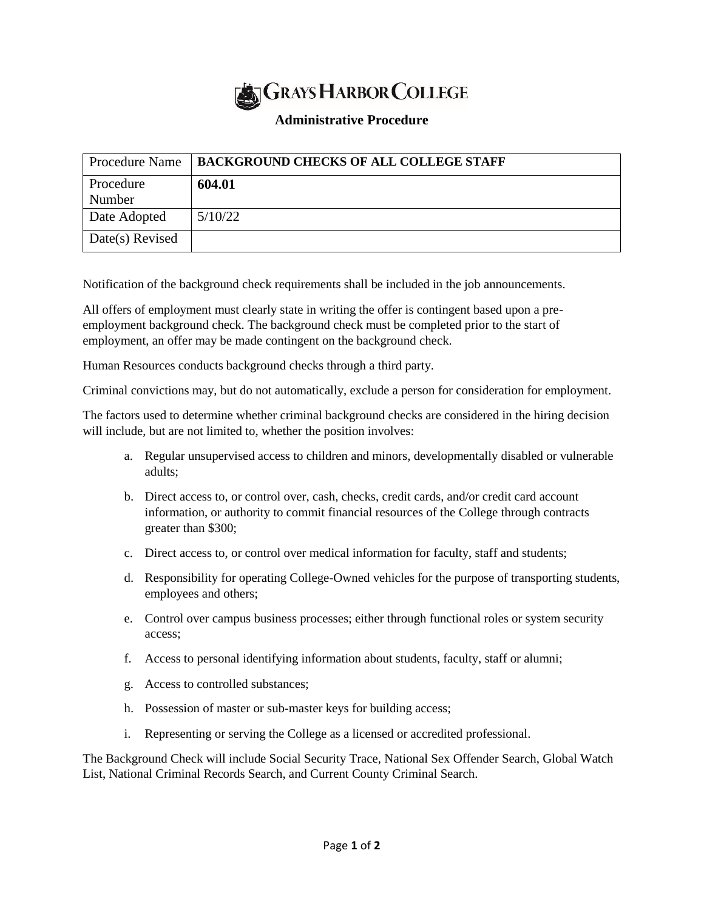

## **Administrative Procedure**

| <b>Procedure Name</b> | <b>BACKGROUND CHECKS OF ALL COLLEGE STAFF</b> |
|-----------------------|-----------------------------------------------|
| Procedure             | 604.01                                        |
| Number                |                                               |
| Date Adopted          | 5/10/22                                       |
| Date(s) Revised       |                                               |

Notification of the background check requirements shall be included in the job announcements.

All offers of employment must clearly state in writing the offer is contingent based upon a preemployment background check. The background check must be completed prior to the start of employment, an offer may be made contingent on the background check.

Human Resources conducts background checks through a third party.

Criminal convictions may, but do not automatically, exclude a person for consideration for employment.

The factors used to determine whether criminal background checks are considered in the hiring decision will include, but are not limited to, whether the position involves:

- a. Regular unsupervised access to children and minors, developmentally disabled or vulnerable adults;
- b. Direct access to, or control over, cash, checks, credit cards, and/or credit card account information, or authority to commit financial resources of the College through contracts greater than \$300;
- c. Direct access to, or control over medical information for faculty, staff and students;
- d. Responsibility for operating College-Owned vehicles for the purpose of transporting students, employees and others;
- e. Control over campus business processes; either through functional roles or system security access;
- f. Access to personal identifying information about students, faculty, staff or alumni;
- g. Access to controlled substances;
- h. Possession of master or sub-master keys for building access;
- i. Representing or serving the College as a licensed or accredited professional.

The Background Check will include Social Security Trace, National Sex Offender Search, Global Watch List, National Criminal Records Search, and Current County Criminal Search.